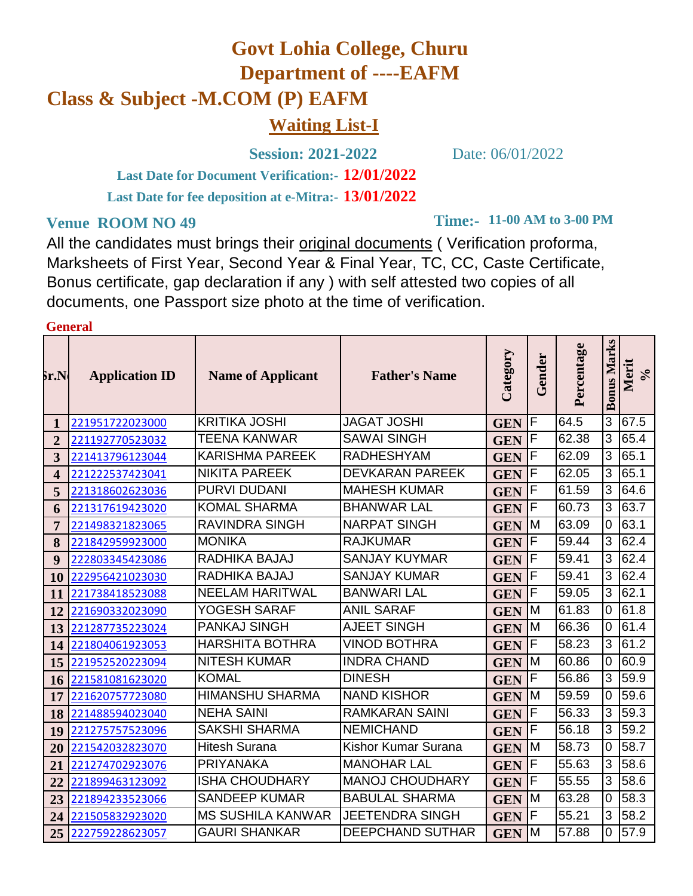## **Govt Lohia College, Churu Department of ----EAFM Class & Subject -M.COM (P) EAFM Waiting List-I**

**Session: 2021-2022** Date: 06/01/2022

**12/01/2022 Last Date for Document Verification:- 13/01/2022 Last Date for fee deposition at e-Mitra:-**

## **Venue ROOM NO 49**

**Time:- 11-00 AM to 3-00 PM**

All the candidates must brings their original documents ( Verification proforma, Marksheets of First Year, Second Year & Final Year, TC, CC, Caste Certificate, Bonus certificate, gap declaration if any ) with self attested two copies of all documents, one Passport size photo at the time of verification.

## **General**

| $\delta$ r.N | <b>Application ID</b> | <b>Name of Applicant</b> | <b>Father's Name</b>    | Category   | Gender | Percentage | <b>Bonus Marks</b> | Merit<br>$\sqrt{6}$ |
|--------------|-----------------------|--------------------------|-------------------------|------------|--------|------------|--------------------|---------------------|
| 1            | 221951722023000       | <b>KRITIKA JOSHI</b>     | <b>JAGAT JOSHI</b>      | <b>GEN</b> | F      | 64.5       | 3                  | 67.5                |
| 2            | 221192770523032       | <b>TEENA KANWAR</b>      | <b>SAWAI SINGH</b>      | <b>GEN</b> | F      | 62.38      | 3                  | 65.4                |
| 3            | 221413796123044       | <b>KARISHMA PAREEK</b>   | <b>RADHESHYAM</b>       | <b>GEN</b> | F      | 62.09      | 3                  | 65.1                |
| 4            | 221222537423041       | <b>NIKITA PAREEK</b>     | <b>DEVKARAN PAREEK</b>  | <b>GEN</b> | F      | 62.05      | 3                  | 65.1                |
| 5            | 221318602623036       | <b>PURVI DUDANI</b>      | <b>MAHESH KUMAR</b>     | <b>GEN</b> | F      | 61.59      | 3                  | 64.6                |
| 6            | 221317619423020       | <b>KOMAL SHARMA</b>      | <b>BHANWAR LAL</b>      | <b>GEN</b> | F      | 60.73      | 3                  | 63.7                |
| 7            | 221498321823065       | <b>RAVINDRA SINGH</b>    | <b>NARPAT SINGH</b>     | <b>GEN</b> | M      | 63.09      | 0                  | 63.1                |
| 8            | 221842959923000       | <b>MONIKA</b>            | <b>RAJKUMAR</b>         | <b>GEN</b> | F      | 59.44      | 3                  | 62.4                |
| 9            | 222803345423086       | RADHIKA BAJAJ            | <b>SANJAY KUYMAR</b>    | <b>GEN</b> | F      | 59.41      | 3                  | 62.4                |
| 10           | 222956421023030       | RADHIKA BAJAJ            | <b>SANJAY KUMAR</b>     | <b>GEN</b> | F      | 59.41      | 3                  | 62.4                |
| 11           | 221738418523088       | <b>NEELAM HARITWAL</b>   | <b>BANWARI LAL</b>      | <b>GEN</b> | F      | 59.05      | 3                  | 62.1                |
| 12           | 221690332023090       | YOGESH SARAF             | <b>ANIL SARAF</b>       | <b>GEN</b> | M      | 61.83      | 0                  | 61.8                |
| 13           | 221287735223024       | <b>PANKAJ SINGH</b>      | <b>AJEET SINGH</b>      | <b>GEN</b> | M      | 66.36      | 0                  | 61.4                |
| 14           | 221804061923053       | <b>HARSHITA BOTHRA</b>   | <b>VINOD BOTHRA</b>     | <b>GEN</b> | F      | 58.23      | 3                  | 61.2                |
| 15           | 221952520223094       | <b>NITESH KUMAR</b>      | <b>INDRA CHAND</b>      | <b>GEN</b> | M      | 60.86      | 0                  | 60.9                |
| 16           | 221581081623020       | <b>KOMAL</b>             | <b>DINESH</b>           | <b>GEN</b> | F      | 56.86      | 3                  | 59.9                |
| 17           | 221620757723080       | <b>HIMANSHU SHARMA</b>   | <b>NAND KISHOR</b>      | <b>GEN</b> | M      | 59.59      | 0                  | 59.6                |
| 18           | 221488594023040       | <b>NEHA SAINI</b>        | <b>RAMKARAN SAINI</b>   | <b>GEN</b> | F      | 56.33      | 3 <sup>1</sup>     | 59.3                |
| 19           | 221275757523096       | <b>SAKSHI SHARMA</b>     | <b>NEMICHAND</b>        | <b>GEN</b> | F      | 56.18      | 3                  | 59.2                |
| 20           | 221542032823070       | <b>Hitesh Surana</b>     | Kishor Kumar Surana     | <b>GEN</b> | M      | 58.73      | 0                  | 58.7                |
| 21           | 221274702923076       | <b>PRIYANAKA</b>         | <b>MANOHAR LAL</b>      | <b>GEN</b> | F      | 55.63      | 3                  | 58.6                |
| 22           | 221899463123092       | <b>ISHA CHOUDHARY</b>    | <b>MANOJ CHOUDHARY</b>  | <b>GEN</b> | F      | 55.55      | 3                  | 58.6                |
| 23           | 221894233523066       | <b>SANDEEP KUMAR</b>     | <b>BABULAL SHARMA</b>   | <b>GEN</b> | M      | 63.28      | 0                  | 58.3                |
| 24           | 221505832923020       | <b>MS SUSHILA KANWAR</b> | <b>JEETENDRA SINGH</b>  | <b>GEN</b> | F      | 55.21      | 3                  | 58.2                |
| 25           | 222759228623057       | <b>GAURI SHANKAR</b>     | <b>DEEPCHAND SUTHAR</b> | <b>GEN</b> | M      | 57.88      | 0                  | 57.9                |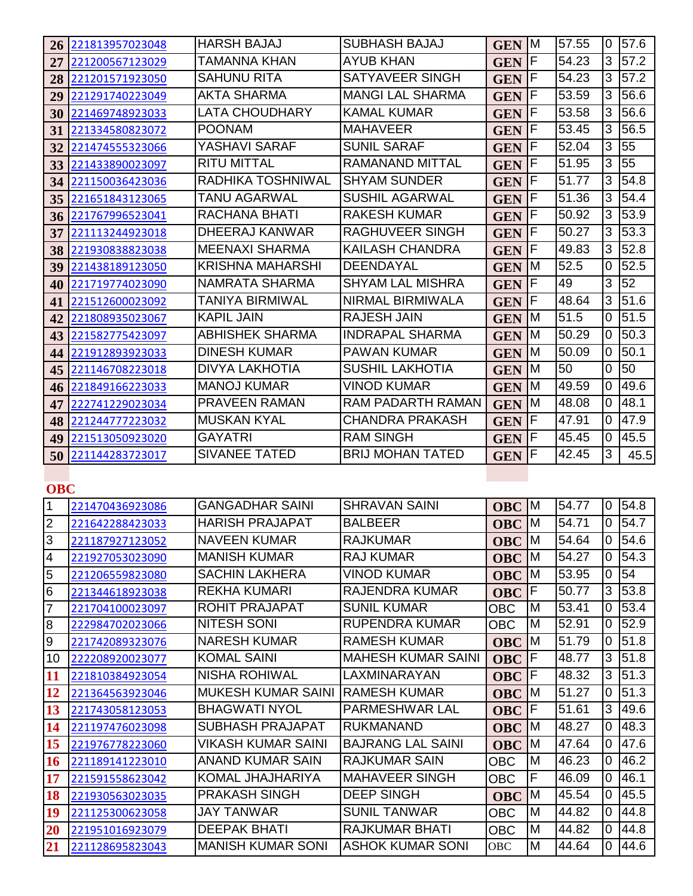|                 | 26 221813957023048 | <b>HARSH BAJAJ</b>      | <b>SUBHASH BAJAJ</b>    | <b>GEN M</b> |     | 57.55 | 0              | 57.6 |
|-----------------|--------------------|-------------------------|-------------------------|--------------|-----|-------|----------------|------|
|                 | 27 221200567123029 | TAMANNA KHAN            | <b>AYUB KHAN</b>        | <b>GEN</b>   | ΙF  | 54.23 | 3              | 57.2 |
|                 | 28 221201571923050 | SAHUNU RITA             | <b>SATYAVEER SINGH</b>  | <b>GEN</b>   | F   | 54.23 | 3              | 57.2 |
| 29              | 221291740223049    | <b>AKTA SHARMA</b>      | <b>MANGI LAL SHARMA</b> | <b>GEN</b>   | lF. | 53.59 | 3              | 56.6 |
| 30              | 221469748923033    | LATA CHOUDHARY          | <b>KAMAL KUMAR</b>      | <b>GEN</b>   | ΙF  | 53.58 | 3              | 56.6 |
| 31              | 221334580823072    | <b>POONAM</b>           | <b>MAHAVEER</b>         | <b>GEN</b>   | F   | 53.45 | 3              | 56.5 |
| 32              | 221474555323066    | YASHAVI SARAF           | <b>SUNIL SARAF</b>      | <b>GEN</b>   | F   | 52.04 | 3              | 55   |
|                 | 33 221433890023097 | <b>RITU MITTAL</b>      | <b>RAMANAND MITTAL</b>  | <b>GEN</b>   | F   | 51.95 | 3              | 55   |
|                 | 34 221150036423036 | RADHIKA TOSHNIWAL       | <b>SHYAM SUNDER</b>     | <b>GEN</b>   | ΙF  | 51.77 | 3              | 54.8 |
|                 | 35 221651843123065 | TANU AGARWAL            | <b>SUSHIL AGARWAL</b>   | <b>GEN</b>   | F   | 51.36 | 3              | 54.4 |
|                 | 36 221767996523041 | RACHANA BHATI           | <b>RAKESH KUMAR</b>     | <b>GEN</b>   | F   | 50.92 | 3              | 53.9 |
| 37              | 221113244923018    | <b>DHEERAJ KANWAR</b>   | <b>RAGHUVEER SINGH</b>  | <b>GEN</b>   | F   | 50.27 | 3              | 53.3 |
|                 | 38 221930838823038 | <b>MEENAXI SHARMA</b>   | <b>KAILASH CHANDRA</b>  | <b>GEN</b>   | lF. | 49.83 | 3              | 52.8 |
| 39              | 221438189123050    | <b>KRISHNA MAHARSHI</b> | DEENDAYAL               | <b>GEN</b>   | M   | 52.5  | 0              | 52.5 |
|                 | 40 221719774023090 | NAMRATA SHARMA          | <b>SHYAM LAL MISHRA</b> | <b>GEN</b>   | F   | 49    | 3              | 52   |
| 41              | 221512600023092    | TANIYA BIRMIWAL         | NIRMAL BIRMIWALA        | <b>GEN</b>   | F   | 48.64 | 3              | 51.6 |
|                 | 42 221808935023067 | <b>KAPIL JAIN</b>       | <b>RAJESH JAIN</b>      | <b>GEN</b>   | M   | 51.5  | 0              | 51.5 |
|                 | 43 221582775423097 | <b>ABHISHEK SHARMA</b>  | <b>INDRAPAL SHARMA</b>  | <b>GEN</b>   | M   | 50.29 | $\overline{0}$ | 50.3 |
|                 | 44 221912893923033 | <b>DINESH KUMAR</b>     | <b>PAWAN KUMAR</b>      | <b>GEN</b>   | M   | 50.09 | $\overline{0}$ | 50.1 |
| 45 <sup>1</sup> | 221146708223018    | <b>DIVYA LAKHOTIA</b>   | <b>SUSHIL LAKHOTIA</b>  | <b>GEN</b>   | M   | 50    | $\overline{0}$ | 50   |
|                 | 46 221849166223033 | <b>MANOJ KUMAR</b>      | <b>VINOD KUMAR</b>      | <b>GEN</b>   | M   | 49.59 | 0              | 49.6 |
| 47              | 222741229023034    | <b>PRAVEEN RAMAN</b>    | RAM PADARTH RAMAN       | <b>GEN</b>   | M   | 48.08 | 0              | 48.1 |
|                 | 48 221244777223032 | <b>MUSKAN KYAL</b>      | CHANDRA PRAKASH         | <b>GEN</b>   | F   | 47.91 | 0              | 47.9 |
| 49              | 221513050923020    | <b>GAYATRI</b>          | <b>RAM SINGH</b>        | <b>GEN</b>   | F   | 45.45 | 0              | 45.5 |
| 50              | 221144283723017    | <b>SIVANEE TATED</b>    | <b>BRIJ MOHAN TATED</b> | <b>GEN</b>   | F   | 42.45 | 3              | 45.5 |
|                 |                    |                         |                         |              |     |       |                |      |

**OBC**

| 1               | 221470436923086 | <b>GANGADHAR SAINI</b>    | <b>SHRAVAN SAINI</b>      | <b>OBC</b> | M | 54.77 | 0        | 54.8 |
|-----------------|-----------------|---------------------------|---------------------------|------------|---|-------|----------|------|
| $\overline{2}$  | 221642288423033 | <b>HARISH PRAJAPAT</b>    | <b>BALBEER</b>            | <b>OBC</b> | м | 54.71 | 0        | 54.7 |
| 3               | 221187927123052 | <b>NAVEEN KUMAR</b>       | <b>RAJKUMAR</b>           | <b>OBC</b> | М | 54.64 | 0        | 54.6 |
| $\overline{4}$  | 221927053023090 | <b>MANISH KUMAR</b>       | <b>RAJ KUMAR</b>          | <b>OBC</b> | M | 54.27 | 0        | 54.3 |
| 5               | 221206559823080 | <b>SACHIN LAKHERA</b>     | VINOD KUMAR               | <b>OBC</b> | M | 53.95 | 0        | 54   |
| $6\overline{6}$ | 221344618923038 | <b>REKHA KUMARI</b>       | <b>RAJENDRA KUMAR</b>     | <b>OBC</b> | F | 50.77 | 3        | 53.8 |
| 7               | 221704100023097 | <b>ROHIT PRAJAPAT</b>     | <b>SUNIL KUMAR</b>        | <b>OBC</b> | M | 53.41 | 0        | 53.4 |
| $\overline{8}$  | 222984702023066 | <b>NITESH SONI</b>        | <b>RUPENDRA KUMAR</b>     | <b>OBC</b> | M | 52.91 | 0        | 52.9 |
| 9               | 221742089323076 | <b>NARESH KUMAR</b>       | <b>RAMESH KUMAR</b>       | <b>OBC</b> | M | 51.79 | 0        | 51.8 |
| 10              | 222208920023077 | <b>KOMAL SAINI</b>        | <b>MAHESH KUMAR SAINI</b> | <b>OBC</b> | F | 48.77 | 3        | 51.8 |
| 11              | 221810384923054 | <b>NISHA ROHIWAL</b>      | LAXMINARAYAN              | <b>OBC</b> | F | 48.32 | 3        | 51.3 |
| 12              | 221364563923046 | <b>MUKESH KUMAR SAINI</b> | <b>RAMESH KUMAR</b>       | <b>OBC</b> | м | 51.27 | 0        | 51.3 |
| 13              | 221743058123053 | <b>BHAGWATI NYOL</b>      | PARMESHWAR LAL            | <b>OBC</b> | F | 51.61 | 3        | 49.6 |
| 14              | 221197476023098 | <b>SUBHASH PRAJAPAT</b>   | <b>RUKMANAND</b>          | <b>OBC</b> | М | 48.27 | 0        | 48.3 |
| 15              | 221976778223060 | VIKASH KUMAR SAINI        | <b>BAJRANG LAL SAINI</b>  | <b>OBC</b> | M | 47.64 | $\Omega$ | 47.6 |
| 16              | 221189141223010 | <b>ANAND KUMAR SAIN</b>   | <b>RAJKUMAR SAIN</b>      | <b>OBC</b> | M | 46.23 | 0        | 46.2 |
| 17              | 221591558623042 | KOMAL JHAJHARIYA          | <b>MAHAVEER SINGH</b>     | <b>OBC</b> | F | 46.09 | 0        | 46.1 |
| 18              | 221930563023035 | PRAKASH SINGH             | <b>DEEP SINGH</b>         | <b>OBC</b> | M | 45.54 | 0        | 45.5 |
| 19              | 221125300623058 | <b>JAY TANWAR</b>         | <b>SUNIL TANWAR</b>       | <b>OBC</b> | M | 44.82 | 0        | 44.8 |
| 20              | 221951016923079 | <b>DEEPAK BHATI</b>       | <b>RAJKUMAR BHATI</b>     | <b>OBC</b> | M | 44.82 | 0        | 44.8 |
| 21              | 221128695823043 | <b>MANISH KUMAR SONI</b>  | <b>ASHOK KUMAR SONI</b>   | <b>OBC</b> | M | 44.64 | 0        | 44.6 |